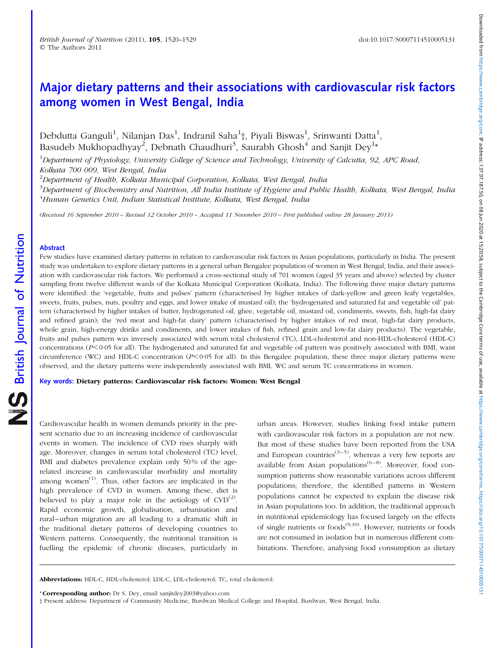# Major dietary patterns and their associations with cardiovascular risk factors among women in West Bengal, India

Debdutta Ganguli<sup>1</sup>, Nilanjan Das<sup>1</sup>, Indranil Saha<sup>1</sup>†, Piyali Biswas<sup>1</sup>, Srinwanti Datta<sup>1</sup>, Basudeb Mukhopadhyay<sup>2</sup>, Debnath Chaudhuri<sup>3</sup>, Saurabh Ghosh<sup>4</sup> and Sanjit Dey<sup>1</sup>\*

 $^1$ Department of Physiology, University College of Science and Technology, University of Calcutta, 92, APC Road, Kolkata 700 009, West Bengal, India

 $^2$ Department of Health, Kolkata Municipal Corporation, Kolkata, West Bengal, India

 $^3$ Department of Biochemistry and Nutrition, All India Institute of Hygiene and Public Health, Kolkata, West Bengal, India <sup>4</sup>Human Genetics Unit, Indian Statistical Institute, Kolkata, West Bengal, India

(Received 16 September 2010 – Revised 12 October 2010 – Accepted 11 November 2010 – First published online 28 January 2011)

#### Abstract

Few studies have examined dietary patterns in relation to cardiovascular risk factors in Asian populations, particularly in India. The present study was undertaken to explore dietary patterns in a general urban Bengalee population of women in West Bengal, India, and their association with cardiovascular risk factors. We performed a cross-sectional study of 701 women (aged 35 years and above) selected by cluster sampling from twelve different wards of the Kolkata Municipal Corporation (Kolkata, India). The following three major dietary patterns were identified: the 'vegetable, fruits and pulses' pattern (characterised by higher intakes of dark-yellow and green leafy vegetables, sweets, fruits, pulses, nuts, poultry and eggs, and lower intake of mustard oil); the 'hydrogenated and saturated fat and vegetable oil' pattern (characterised by higher intakes of butter, hydrogenated oil, ghee, vegetable oil, mustard oil, condiments, sweets, fish, high-fat dairy and refined grain); the 'red meat and high-fat dairy' pattern (characterised by higher intakes of red meat, high-fat dairy products, whole grain, high-energy drinks and condiments, and lower intakes of fish, refined grain and low-fat dairy products). The vegetable, fruits and pulses pattern was inversely associated with serum total cholesterol (TC), LDL-cholesterol and non-HDL-cholesterol (HDL-C) concentrations ( $P<0.05$  for all). The hydrogenated and saturated fat and vegetable oil pattern was positively associated with BMI, waist circumference (WC) and HDL-C concentration ( $P<0.05$  for all). In this Bengalee population, these three major dietary patterns were observed, and the dietary patterns were independently associated with BMI, WC and serum TC concentrations in women.

Key words: Dietary patterns: Cardiovascular risk factors: Women: West Bengal

Cardiovascular health in women demands priority in the present scenario due to an increasing incidence of cardiovascular events in women. The incidence of CVD rises sharply with age. Moreover, changes in serum total cholesterol (TC) level, BMI and diabetes prevalence explain only 50% of the agerelated increase in cardiovascular morbidity and mortality among women $<sup>(1)</sup>$ . Thus, other factors are implicated in the</sup> high prevalence of CVD in women. Among these, diet is believed to play a major role in the aetiology of  $CVD^{(2)}$ . Rapid economic growth, globalisation, urbanisation and rural–urban migration are all leading to a dramatic shift in the traditional dietary patterns of developing countries to Western patterns. Consequently, the nutritional transition is fuelling the epidemic of chronic diseases, particularly in

urban areas. However, studies linking food intake pattern with cardiovascular risk factors in a population are not new. But most of these studies have been reported from the USA and European countries<sup>(3–5)</sup>, whereas a very few reports are available from Asian populations<sup> $(6-8)$ </sup>. Moreover, food consumption patterns show reasonable variations across different populations; therefore, the identified patterns in Western populations cannot be expected to explain the disease risk in Asian populations too. In addition, the traditional approach in nutritional epidemiology has focused largely on the effects of single nutrients or foods<sup>(9,10)</sup>. However, nutrients or foods are not consumed in isolation but in numerous different combinations. Therefore, analysing food consumption as dietary

Abbreviations: HDL-C, HDL-cholesterol; LDL-C, LDL-cholesterol; TC, total cholesterol.

\* Corresponding author: Dr S. Dey, email sanjitdey2003@yahoo.com

† Present address: Department of Community Medicine, Burdwan Medical College and Hospital, Burdwan, West Bengal, India.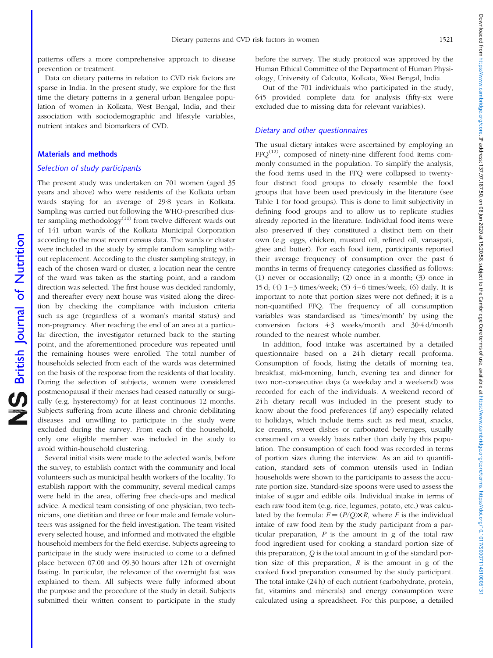patterns offers a more comprehensive approach to disease prevention or treatment.

Data on dietary patterns in relation to CVD risk factors are sparse in India. In the present study, we explore for the first time the dietary patterns in a general urban Bengalee population of women in Kolkata, West Bengal, India, and their association with sociodemographic and lifestyle variables, nutrient intakes and biomarkers of CVD.

# Materials and methods

British Journal of Nutrition

NS British Journal of Nutrition

# Selection of study participants

The present study was undertaken on 701 women (aged 35 years and above) who were residents of the Kolkata urban wards staying for an average of 29·8 years in Kolkata. Sampling was carried out following the WHO-prescribed cluster sampling methodology<sup>(11)</sup> from twelve different wards out of 141 urban wards of the Kolkata Municipal Corporation according to the most recent census data. The wards or cluster were included in the study by simple random sampling without replacement. According to the cluster sampling strategy, in each of the chosen ward or cluster, a location near the centre of the ward was taken as the starting point, and a random direction was selected. The first house was decided randomly, and thereafter every next house was visited along the direction by checking the compliance with inclusion criteria such as age (regardless of a woman's marital status) and non-pregnancy. After reaching the end of an area at a particular direction, the investigator returned back to the starting point, and the aforementioned procedure was repeated until the remaining houses were enrolled. The total number of households selected from each of the wards was determined on the basis of the response from the residents of that locality. During the selection of subjects, women were considered postmenopausal if their menses had ceased naturally or surgically (e.g. hysterectomy) for at least continuous 12 months. Subjects suffering from acute illness and chronic debilitating diseases and unwilling to participate in the study were excluded during the survey. From each of the household, only one eligible member was included in the study to avoid within-household clustering.

Several initial visits were made to the selected wards, before the survey, to establish contact with the community and local volunteers such as municipal health workers of the locality. To establish rapport with the community, several medical camps were held in the area, offering free check-ups and medical advice. A medical team consisting of one physician, two technicians, one dietitian and three or four male and female volunteers was assigned for the field investigation. The team visited every selected house, and informed and motivated the eligible household members for the field exercise. Subjects agreeing to participate in the study were instructed to come to a defined place between 07.00 and 09.30 hours after 12 h of overnight fasting. In particular, the relevance of the overnight fast was explained to them. All subjects were fully informed about the purpose and the procedure of the study in detail. Subjects submitted their written consent to participate in the study before the survey. The study protocol was approved by the Human Ethical Committee of the Department of Human Physiology, University of Calcutta, Kolkata, West Bengal, India.

Out of the 701 individuals who participated in the study, 645 provided complete data for analysis (fifty-six were excluded due to missing data for relevant variables).

## Dietary and other questionnaires

The usual dietary intakes were ascertained by employing an  $FFO<sup>(12)</sup>$ , composed of ninety-nine different food items commonly consumed in the population. To simplify the analysis, the food items used in the FFQ were collapsed to twentyfour distinct food groups to closely resemble the food groups that have been used previously in the literature (see [Table 1](#page-2-0) for food groups). This is done to limit subjectivity in defining food groups and to allow us to replicate studies already reported in the literature. Individual food items were also preserved if they constituted a distinct item on their own (e.g. eggs, chicken, mustard oil, refined oil, vanaspati, ghee and butter). For each food item, participants reported their average frequency of consumption over the past 6 months in terms of frequency categories classified as follows: (1) never or occasionally; (2) once in a month; (3) once in 15 d; (4) 1–3 times/week; (5) 4–6 times/week; (6) daily. It is important to note that portion sizes were not defined; it is a non-quantified FFQ. The frequency of all consumption variables was standardised as 'times/month' by using the conversion factors 4·3 weeks/month and 30·4 d/month rounded to the nearest whole number.

In addition, food intake was ascertained by a detailed questionnaire based on a 24h dietary recall proforma. Consumption of foods, listing the details of morning tea, breakfast, mid-morning, lunch, evening tea and dinner for two non-consecutive days (a weekday and a weekend) was recorded for each of the individuals. A weekend record of 24 h dietary recall was included in the present study to know about the food preferences (if any) especially related to holidays, which include items such as red meat, snacks, ice creams, sweet dishes or carbonated beverages, usually consumed on a weekly basis rather than daily by this population. The consumption of each food was recorded in terms of portion sizes during the interview. As an aid to quantification, standard sets of common utensils used in Indian households were shown to the participants to assess the accurate portion size. Standard-size spoons were used to assess the intake of sugar and edible oils. Individual intake in terms of each raw food item (e.g. rice, legumes, potato, etc.) was calculated by the formula:  $F = (P/O) \times R$ , where F is the individual intake of raw food item by the study participant from a particular preparation,  $P$  is the amount in g of the total raw food ingredient used for cooking a standard portion size of this preparation, Q is the total amount in g of the standard portion size of this preparation,  $R$  is the amount in g of the cooked food preparation consumed by the study participant. The total intake (24 h) of each nutrient (carbohydrate, protein, fat, vitamins and minerals) and energy consumption were calculated using a spreadsheet. For this purpose, a detailed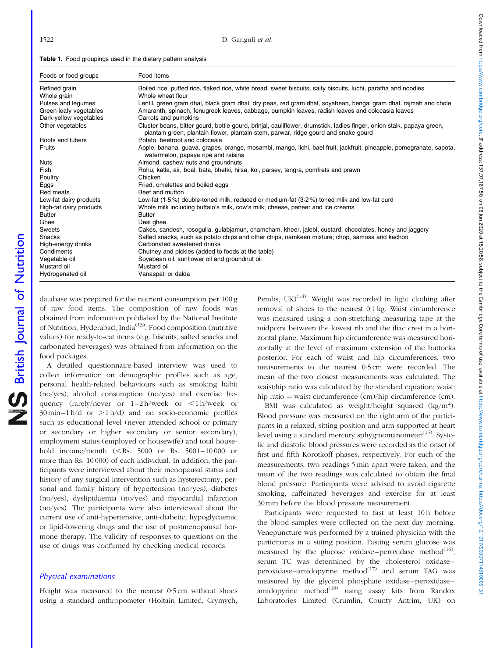<span id="page-2-0"></span>

British Journal of Nutrition

**NS** British Journal of Nutrition

Table 1. Food groupings used in the dietary pattern analysis

| Foods or food groups    | Food items                                                                                                                                                                                                   |
|-------------------------|--------------------------------------------------------------------------------------------------------------------------------------------------------------------------------------------------------------|
| Refined grain           | Boiled rice, puffed rice, flaked rice, white bread, sweet biscuits, salty biscuits, luchi, paratha and noodles                                                                                               |
| Whole grain             | Whole wheat flour                                                                                                                                                                                            |
| Pulses and legumes      | Lentil, green gram dhal, black gram dhal, dry peas, red gram dhal, soyabean, bengal gram dhal, rajmah and chole                                                                                              |
| Green leafy vegetables  | Amaranth, spinach, fenugreek leaves, cabbage, pumpkin leaves, radish leaves and colocasia leaves                                                                                                             |
| Dark-yellow vegetables  | Carrots and pumpkins                                                                                                                                                                                         |
| Other vegetables        | Cluster beans, bitter gourd, bottle gourd, brinjal, cauliflower, drumstick, ladies finger, onion stalk, papaya green,<br>plantain green, plantain flower, plantain stem, parwar, ridge gourd and snake gourd |
| Roots and tubers        | Potato, beetroot and colocasia                                                                                                                                                                               |
| Fruits                  | Apple, banana, guava, grapes, orange, mosambi, mango, lichi, bael fruit, jackfruit, pineapple, pomegranate, sapota,<br>watermelon, papaya ripe and raisins                                                   |
| <b>Nuts</b>             | Almond, cashew nuts and groundnuts                                                                                                                                                                           |
| Fish                    | Rohu, katla, air, boal, bata, bhetki, hilsa, koi, parsey, tengra, pomfrets and prawn                                                                                                                         |
| Poultry                 | Chicken                                                                                                                                                                                                      |
| Eggs                    | Fried, omelettes and boiled eggs                                                                                                                                                                             |
| Red meats               | Beef and mutton                                                                                                                                                                                              |
| Low-fat dairy products  | Low-fat (1.5%) double-toned milk, reduced or medium-fat (3.2%) toned milk and low-fat curd                                                                                                                   |
| High-fat dairy products | Whole milk including buffalo's milk, cow's milk; cheese, paneer and ice creams                                                                                                                               |
| <b>Butter</b>           | <b>Butter</b>                                                                                                                                                                                                |
| Ghee                    | Desi ghee                                                                                                                                                                                                    |
| Sweets                  | Cakes, sandesh, rosogulla, gulabjamun, chamcham, kheer, jalebi, custard, chocolates, honey and jaggery                                                                                                       |
| <b>Snacks</b>           | Salted snacks, such as potato chips and other chips, namkeen mixture; chop, samosa and kachori                                                                                                               |
| High-energy drinks      | Carbonated sweetened drinks                                                                                                                                                                                  |
| Condiments              | Chutney and pickles (added to foods at the table)                                                                                                                                                            |
| Vegetable oil           | Soyabean oil, sunflower oil and groundnut oil                                                                                                                                                                |
| Mustard oil             | Mustard oil                                                                                                                                                                                                  |
| Hydrogenated oil        | Vanaspati or dalda                                                                                                                                                                                           |

database was prepared for the nutrient consumption per 100 g of raw food items. The composition of raw foods was obtained from information published by the National Institute of Nutrition, Hyderabad, India<sup>(13)</sup>. Food composition (nutritive values) for ready-to-eat items (e.g. biscuits, salted snacks and carbonated beverages) was obtained from information on the food packages.

A detailed questionnaire-based interview was used to collect information on demographic profiles such as age, personal health-related behaviours such as smoking habit (no/yes), alcohol consumption (no/yes) and exercise frequency (rarely/never or  $1-2 h$ /week or  $\lt 1 h$ /week or  $30 \text{ min}-1 \text{ h/d}$  or  $>1 \text{ h/d}$  and on socio-economic profiles such as educational level (never attended school or primary or secondary or higher secondary or senior secondary), employment status (employed or housewife) and total household income/month  $(<$ Rs. 5000 or Rs. 5001–10000 or more than Rs. 10 000) of each individual. In addition, the participants were interviewed about their menopausal status and history of any surgical intervention such as hysterectomy, personal and family history of hypertension (no/yes), diabetes (no/yes), dyslipidaemia (no/yes) and myocardial infarction (no/yes). The participants were also interviewed about the current use of anti-hypertensive, anti-diabetic, hypoglycaemic or lipid-lowering drugs and the use of postmenopausal hormone therapy. The validity of responses to questions on the use of drugs was confirmed by checking medical records.

## Physical examinations

Height was measured to the nearest 0·5 cm without shoes using a standard anthropometer (Holtain Limited, Crymych,

Pembs,  $UK)^{(14)}$ . Weight was recorded in light clothing after removal of shoes to the nearest 0·1 kg. Waist circumference was measured using a non-stretching measuring tape at the midpoint between the lowest rib and the iliac crest in a horizontal plane. Maximum hip circumference was measured horizontally at the level of maximum extension of the buttocks posterior. For each of waist and hip circumferences, two measurements to the nearest 0·5 cm were recorded. The mean of the two closest measurements was calculated. The waist:hip ratio was calculated by the standard equation: waist: hip ratio  $=$  waist circumference (cm)/hip circumference (cm).

BMI was calculated as weight/height squared  $(kg/m^2)$ . Blood pressure was measured on the right arm of the participants in a relaxed, sitting position and arm supported at heart level using a standard mercury sphygmomanometer $(15)$ . Systolic and diastolic blood pressures were recorded as the onset of first and fifth Korotkoff phases, respectively. For each of the measurements, two readings 5 min apart were taken, and the mean of the two readings was calculated to obtain the final blood pressure. Participants were advised to avoid cigarette smoking, caffeinated beverages and exercise for at least 30 min before the blood pressure measurement.

Participants were requested to fast at least 10h before the blood samples were collected on the next day morning. Venepuncture was performed by a trained physician with the participants in a sitting position. Fasting serum glucose was measured by the glucose oxidase–peroxidase method $(16)$ , serum TC was determined by the cholesterol oxidase– peroxidase–amidopyrine method $^{(17)}$  and serum TAG was measured by the glycerol phosphate oxidase–peroxidase– amidopyrine method $^{(18)}$  using assay kits from Randox Laboratories Limited (Crumlin, County Antrim, UK) on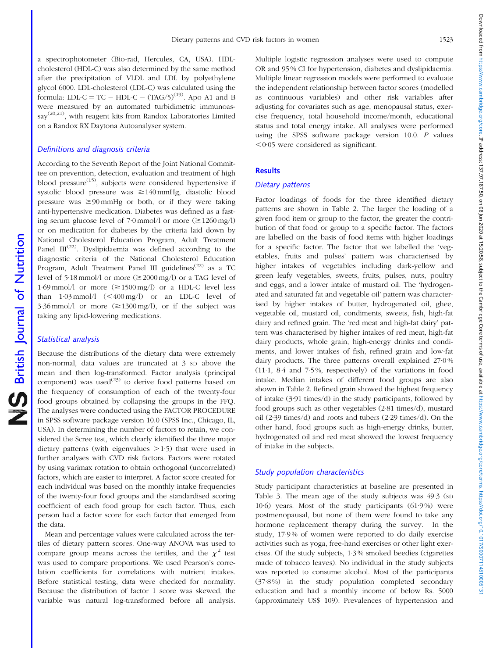a spectrophotometer (Bio-rad, Hercules, CA, USA). HDLcholesterol (HDL-C) was also determined by the same method after the precipitation of VLDL and LDL by polyethylene glycol 6000. LDL-cholesterol (LDL-C) was calculated using the formula: LDL-C = TC - HDL-C -  $(TAG/5)^{(19)}$ . Apo A1 and B were measured by an automated turbidimetric immunoas $say^{(20,21)}$ , with reagent kits from Randox Laboratories Limited on a Randox RX Daytona Autoanalyser system.

## Definitions and diagnosis criteria

According to the Seventh Report of the Joint National Committee on prevention, detection, evaluation and treatment of high blood pressure<sup>(15)</sup>, subjects were considered hypertensive if systolic blood pressure was  $\geq 140$  mmHg, diastolic blood pressure was  $\geq 90$  mmHg or both, or if they were taking anti-hypertensive medication. Diabetes was defined as a fasting serum glucose level of 7.0 mmol/l or more  $(\geq 1260 \text{ mg/l})$ or on medication for diabetes by the criteria laid down by National Cholesterol Education Program, Adult Treatment Panel  $III^{(22)}$ . Dyslipidaemia was defined according to the diagnostic criteria of the National Cholesterol Education Program, Adult Treatment Panel III guidelines<sup>(22)</sup> as a TC level of 5.18 mmol/l or more  $(\geq 2000 \text{ mg/l})$  or a TAG level of 1.69 mmol/l or more  $(\geq 1500 \,\text{mg/l})$  or a HDL-C level less than  $1.03 \text{ mmol}/1$   $( $400 \text{ mg/l}$ )$  or an LDL-C level of  $3.36$  mmol/l or more ( $\geq 1300$  mg/l), or if the subject was taking any lipid-lowering medications.

## Statistical analysis

Because the distributions of the dietary data were extremely non-normal, data values are truncated at 3 SD above the mean and then log-transformed. Factor analysis (principal component) was used<sup>(23)</sup> to derive food patterns based on the frequency of consumption of each of the twenty-four food groups obtained by collapsing the groups in the FFQ. The analyses were conducted using the FACTOR PROCEDURE in SPSS software package version 10.0 (SPSS Inc., Chicago, IL, USA). In determining the number of factors to retain, we considered the Scree test, which clearly identified the three major dietary patterns (with eigenvalues  $>1.5$ ) that were used in further analyses with CVD risk factors. Factors were rotated by using varimax rotation to obtain orthogonal (uncorrelated) factors, which are easier to interpret. A factor score created for each individual was based on the monthly intake frequencies of the twenty-four food groups and the standardised scoring coefficient of each food group for each factor. Thus, each person had a factor score for each factor that emerged from the data.

Mean and percentage values were calculated across the tertiles of dietary pattern scores. One-way ANOVA was used to compare group means across the tertiles, and the  $\chi^2$  test was used to compare proportions. We used Pearson's correlation coefficients for correlations with nutrient intakes. Before statistical testing, data were checked for normality. Because the distribution of factor 1 score was skewed, the variable was natural log-transformed before all analysis.

Multiple logistic regression analyses were used to compute OR and 95 % CI for hypertension, diabetes and dyslipidaemia. Multiple linear regression models were performed to evaluate the independent relationship between factor scores (modelled as continuous variables) and other risk variables after adjusting for covariates such as age, menopausal status, exercise frequency, total household income/month, educational status and total energy intake. All analyses were performed using the SPSS software package version 10.0. P values  $< 0.05$  were considered as significant.

# **Results**

#### Dietary patterns

Factor loadings of foods for the three identified dietary patterns are shown in [Table 2.](#page-4-0) The larger the loading of a given food item or group to the factor, the greater the contribution of that food or group to a specific factor. The factors are labelled on the basis of food items with higher loadings for a specific factor. The factor that we labelled the 'vegetables, fruits and pulses' pattern was characterised by higher intakes of vegetables including dark-yellow and green leafy vegetables, sweets, fruits, pulses, nuts, poultry and eggs, and a lower intake of mustard oil. The 'hydrogenated and saturated fat and vegetable oil' pattern was characterised by higher intakes of butter, hydrogenated oil, ghee, vegetable oil, mustard oil, condiments, sweets, fish, high-fat dairy and refined grain. The 'red meat and high-fat dairy' pattern was characterised by higher intakes of red meat, high-fat dairy products, whole grain, high-energy drinks and condiments, and lower intakes of fish, refined grain and low-fat dairy products. The three patterns overall explained 27·0 % (11·1, 8·4 and 7·5 %, respectively) of the variations in food intake. Median intakes of different food groups are also shown in [Table 2](#page-4-0). Refined grain showed the highest frequency of intake (3·91 times/d) in the study participants, followed by food groups such as other vegetables (2·81 times/d), mustard oil (2·39 times/d) and roots and tubers (2·29 times/d). On the other hand, food groups such as high-energy drinks, butter, hydrogenated oil and red meat showed the lowest frequency of intake in the subjects.

## Study population characteristics

Study participant characteristics at baseline are presented in [Table 3](#page-5-0). The mean age of the study subjects was 49.3 (SD 10·6) years. Most of the study participants (61·9 %) were postmenopausal, but none of them were found to take any hormone replacement therapy during the survey. In the study, 17·9 % of women were reported to do daily exercise activities such as yoga, free-hand exercises or other light exercises. Of the study subjects, 1·3 % smoked beedies (cigarettes made of tobacco leaves). No individual in the study subjects was reported to consume alcohol. Most of the participants (37·8 %) in the study population completed secondary education and had a monthly income of below Rs. 5000 (approximately US\$ 109). Prevalences of hypertension and

Downloaded from https://www.cambridge.org/core. IP address: 137.97.187.50, 0, 00 Jun 2020 at 15:20:58, subject to the Cambridge Core terms of use, available at https://www.cambridge Core terms of use, available at https:// Downloaded from https://www.cambridge.org/core. IP address: 137.97.187.50, on 08 Jun 2020 at 15:20:58, subject to the Cambridge Core terms of use, available at https://www.cambridge.org/core/terms. https://www.cambridge.or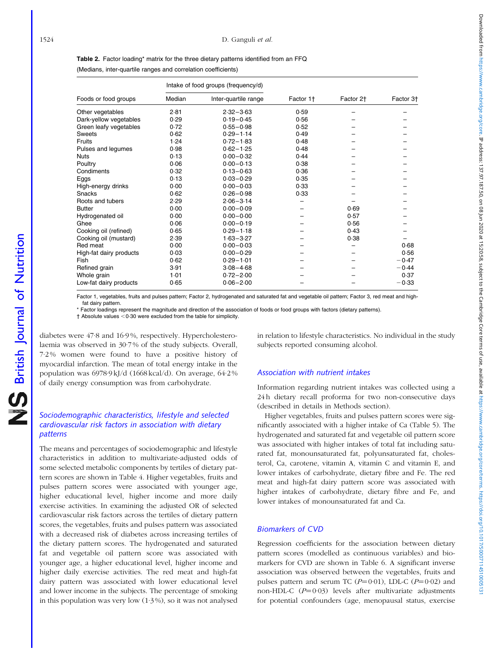<span id="page-4-0"></span>

| Table 2. Factor loading* matrix for the three dietary patterns identified from an FFQ |  |
|---------------------------------------------------------------------------------------|--|
|---------------------------------------------------------------------------------------|--|

(Medians, inter-quartile ranges and correlation coefficients)

|                         |        | Intake of food groups (frequency/d) |           |           |                       |  |
|-------------------------|--------|-------------------------------------|-----------|-----------|-----------------------|--|
| Foods or food groups    | Median | Inter-quartile range                | Factor 1+ | Factor 2+ | Factor 3 <sup>+</sup> |  |
| Other vegetables        | 2.81   | $2.32 - 3.63$                       | 0.59      |           |                       |  |
| Dark-yellow vegetables  | 0.29   | $0.19 - 0.45$                       | 0.56      |           |                       |  |
| Green leafy vegetables  | 0.72   | $0.55 - 0.98$                       | 0.52      |           |                       |  |
| <b>Sweets</b>           | 0.62   | $0.29 - 1.14$                       | 0.49      |           |                       |  |
| Fruits                  | 1.24   | $0.72 - 1.83$                       | 0.48      |           |                       |  |
| Pulses and legumes      | 0.98   | $0.62 - 1.25$                       | 0.48      |           |                       |  |
| <b>Nuts</b>             | 0.13   | $0.00 - 0.32$                       | 0.44      |           |                       |  |
| Poultry                 | 0.06   | $0.00 - 0.13$                       | 0.38      |           |                       |  |
| Condiments              | 0.32   | $0.13 - 0.63$                       | 0.36      |           |                       |  |
| Eggs                    | 0.13   | $0.03 - 0.29$                       | 0.35      |           |                       |  |
| High-energy drinks      | 0.00   | $0.00 - 0.03$                       | 0.33      |           |                       |  |
| Snacks                  | 0.62   | $0.26 - 0.98$                       | 0.33      |           |                       |  |
| Roots and tubers        | 2.29   | $2.06 - 3.14$                       |           |           |                       |  |
| <b>Butter</b>           | 0.00   | $0.00 - 0.09$                       |           | 0.69      |                       |  |
| Hydrogenated oil        | 0.00   | $0.00 - 0.00$                       |           | 0.57      |                       |  |
| Ghee                    | 0.06   | $0.00 - 0.19$                       |           | 0.56      |                       |  |
| Cooking oil (refined)   | 0.65   | $0.29 - 1.18$                       |           | 0.43      |                       |  |
| Cooking oil (mustard)   | 2.39   | $1.63 - 3.27$                       |           | 0.38      |                       |  |
| Red meat                | 0.00   | $0.00 - 0.03$                       |           |           | 0.68                  |  |
| High-fat dairy products | 0.03   | $0.00 - 0.29$                       |           |           | 0.56                  |  |
| Fish                    | 0.62   | $0.29 - 1.01$                       |           |           | $-0.47$               |  |
| Refined grain           | 3.91   | $3.08 - 4.68$                       |           |           | $-0.44$               |  |
| Whole grain             | $1-01$ | $0.72 - 2.00$                       |           |           | 0.37                  |  |
| Low-fat dairy products  | 0.65   | $0.06 - 2.00$                       |           |           | $-0.33$               |  |

Factor 1, vegetables, fruits and pulses pattern; Factor 2, hydrogenated and saturated fat and vegetable oil pattern; Factor 3, red meat and highfat dairy pattern.

\* Factor loadings represent the magnitude and direction of the association of foods or food groups with factors (dietary patterns).

† Absolute values ,0·30 were excluded from the table for simplicity.

diabetes were 47·8 and 16·9 %, respectively. Hypercholesterolaemia was observed in 30·7 % of the study subjects. Overall, 7·2 % women were found to have a positive history of myocardial infarction. The mean of total energy intake in the population was 6978·9 kJ/d (1668 kcal/d). On average, 64·2 % of daily energy consumption was from carbohydrate.

# Sociodemographic characteristics, lifestyle and selected cardiovascular risk factors in association with dietary patterns

The means and percentages of sociodemographic and lifestyle characteristics in addition to multivariate-adjusted odds of some selected metabolic components by tertiles of dietary pattern scores are shown in [Table 4](#page-6-0). Higher vegetables, fruits and pulses pattern scores were associated with younger age, higher educational level, higher income and more daily exercise activities. In examining the adjusted OR of selected cardiovascular risk factors across the tertiles of dietary pattern scores, the vegetables, fruits and pulses pattern was associated with a decreased risk of diabetes across increasing tertiles of the dietary pattern scores. The hydrogenated and saturated fat and vegetable oil pattern score was associated with younger age, a higher educational level, higher income and higher daily exercise activities. The red meat and high-fat dairy pattern was associated with lower educational level and lower income in the subjects. The percentage of smoking in this population was very low  $(1·3%)$ , so it was not analysed in relation to lifestyle characteristics. No individual in the study subjects reported consuming alcohol.

## Association with nutrient intakes

Information regarding nutrient intakes was collected using a 24 h dietary recall proforma for two non-consecutive days (described in details in Methods section).

Higher vegetables, fruits and pulses pattern scores were significantly associated with a higher intake of Ca [\(Table 5\)](#page-6-0). The hydrogenated and saturated fat and vegetable oil pattern score was associated with higher intakes of total fat including saturated fat, monounsaturated fat, polyunsaturated fat, cholesterol, Ca, carotene, vitamin A, vitamin C and vitamin E, and lower intakes of carbohydrate, dietary fibre and Fe. The red meat and high-fat dairy pattern score was associated with higher intakes of carbohydrate, dietary fibre and Fe, and lower intakes of monounsaturated fat and Ca.

# Biomarkers of CVD

Regression coefficients for the association between dietary pattern scores (modelled as continuous variables) and biomarkers for CVD are shown in [Table 6](#page-7-0). A significant inverse association was observed between the vegetables, fruits and pulses pattern and serum TC ( $P=0.01$ ), LDL-C ( $P=0.02$ ) and non-HDL-C  $(P=0.03)$  levels after multivariate adjustments for potential confounders (age, menopausal status, exercise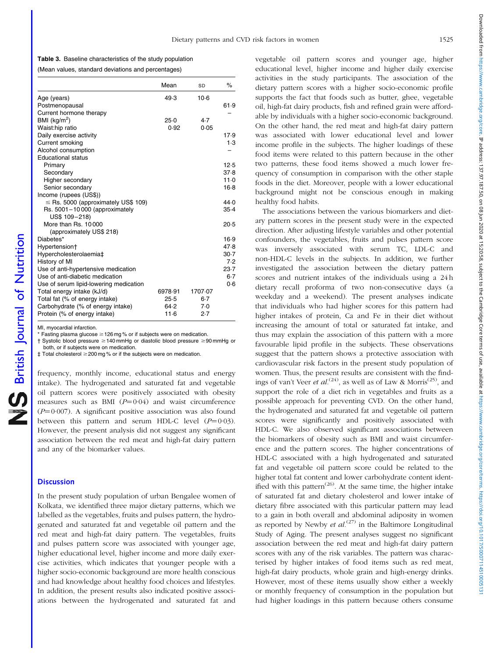<span id="page-5-0"></span>

|  | Table 3. Baseline characteristics of the study population |  |  |
|--|-----------------------------------------------------------|--|--|
|  |                                                           |  |  |

| (Mean values, standard deviations and percentages) |  |  |  |
|----------------------------------------------------|--|--|--|
|                                                    |  |  |  |

|                                          | Mean    | SD      | $\%$    |
|------------------------------------------|---------|---------|---------|
| Age (years)                              | 49.3    | $10-6$  |         |
| Postmenopausal                           |         |         | 61.9    |
| Current hormone therapy                  |         |         |         |
| BMI $(kg/m2)$                            | 25.0    | 4.7     |         |
| Waist:hip ratio                          | 0.92    | 0.05    |         |
| Daily exercise activity                  |         |         | 17.9    |
| Current smoking                          |         |         | 1.3     |
| Alcohol consumption                      |         |         |         |
| <b>Educational status</b>                |         |         |         |
| Primary                                  |         |         | 12.5    |
| Secondary                                |         |         | 37.8    |
| Higher secondary                         |         |         | 11.0    |
| Senior secondary                         |         |         | $16-8$  |
| Income (rupees (US\$))                   |         |         |         |
| $\leq$ Rs. 5000 (approximately US\$ 109) |         |         | 44.0    |
| Rs. 5001-10000 (approximately            |         |         | $35-4$  |
| US\$ 109-218)                            |         |         |         |
| More than Rs. 10000                      |         |         | 20.5    |
| (approximately US\$ 218)                 |         |         |         |
| Diabetes*                                |         |         | 16.9    |
| Hypertension+                            |         |         | 47.8    |
| Hypercholesterolaemia‡                   |         |         | $30-7$  |
| History of MI                            |         |         | 7.2     |
| Use of anti-hypertensive medication      |         |         | 23.7    |
| Use of anti-diabetic medication          |         |         | $6 - 7$ |
| Use of serum lipid-lowering medication   |         |         | 0.6     |
| Total energy intake (kJ/d)               | 6978.91 | 1707-07 |         |
| Total fat (% of energy intake)           | 25.5    | $6-7$   |         |
| Carbohydrate (% of energy intake)        | 64.2    | 7.0     |         |
| Protein (% of energy intake)             | 11.6    | 2.7     |         |

MI, myocardial infarction.

British Journal of Nutrition

**NS** British Journal of Nutrition

Fasting plasma glucose  $\geq$  126 mg % or if subjects were on medication.

 $\dagger$  Systolic blood pressure  $\geq 140$  mmHg or diastolic blood pressure  $\geq 90$  mmHg or both, or if subjects were on medication.

 $\pm$  Total cholesterol  $\geq$  200 mg % or if the subjects were on medication.

frequency, monthly income, educational status and energy intake). The hydrogenated and saturated fat and vegetable oil pattern scores were positively associated with obesity measures such as BMI  $(P=0.04)$  and waist circumference  $(P=0.007)$ . A significant positive association was also found between this pattern and serum HDL-C level  $(P=0.03)$ . However, the present analysis did not suggest any significant association between the red meat and high-fat dairy pattern and any of the biomarker values.

### **Discussion**

In the present study population of urban Bengalee women of Kolkata, we identified three major dietary patterns, which we labelled as the vegetables, fruits and pulses pattern, the hydrogenated and saturated fat and vegetable oil pattern and the red meat and high-fat dairy pattern. The vegetables, fruits and pulses pattern score was associated with younger age, higher educational level, higher income and more daily exercise activities, which indicates that younger people with a higher socio-economic background are more health conscious and had knowledge about healthy food choices and lifestyles. In addition, the present results also indicated positive associations between the hydrogenated and saturated fat and

vegetable oil pattern scores and younger age, higher educational level, higher income and higher daily exercise activities in the study participants. The association of the dietary pattern scores with a higher socio-economic profile supports the fact that foods such as butter, ghee, vegetable oil, high-fat dairy products, fish and refined grain were affordable by individuals with a higher socio-economic background. On the other hand, the red meat and high-fat dairy pattern was associated with lower educational level and lower income profile in the subjects. The higher loadings of these food items were related to this pattern because in the other two patterns, these food items showed a much lower frequency of consumption in comparison with the other staple foods in the diet. Moreover, people with a lower educational background might not be conscious enough in making healthy food habits.

The associations between the various biomarkers and dietary pattern scores in the present study were in the expected direction. After adjusting lifestyle variables and other potential confounders, the vegetables, fruits and pulses pattern score was inversely associated with serum TC, LDL-C and non-HDL-C levels in the subjects. In addition, we further investigated the association between the dietary pattern scores and nutrient intakes of the individuals using a 24 h dietary recall proforma of two non-consecutive days (a weekday and a weekend). The present analyses indicate that individuals who had higher scores for this pattern had higher intakes of protein, Ca and Fe in their diet without increasing the amount of total or saturated fat intake, and thus may explain the association of this pattern with a more favourable lipid profile in the subjects. These observations suggest that the pattern shows a protective association with cardiovascular risk factors in the present study population of women. Thus, the present results are consistent with the findings of van't Veer et  $al^{(24)}$ , as well as of Law & Morris<sup>(25)</sup>, and support the role of a diet rich in vegetables and fruits as a possible approach for preventing CVD. On the other hand, the hydrogenated and saturated fat and vegetable oil pattern scores were significantly and positively associated with HDL-C. We also observed significant associations between the biomarkers of obesity such as BMI and waist circumference and the pattern scores. The higher concentrations of HDL-C associated with a high hydrogenated and saturated fat and vegetable oil pattern score could be related to the higher total fat content and lower carbohydrate content identified with this pattern<sup> $(26)$ </sup>. At the same time, the higher intake of saturated fat and dietary cholesterol and lower intake of dietary fibre associated with this particular pattern may lead to a gain in both overall and abdominal adiposity in women as reported by Newby et  $al^{(27)}$  in the Baltimore Longitudinal Study of Aging. The present analyses suggest no significant association between the red meat and high-fat dairy pattern scores with any of the risk variables. The pattern was characterised by higher intakes of food items such as red meat, high-fat dairy products, whole grain and high-energy drinks. However, most of these items usually show either a weekly or monthly frequency of consumption in the population but had higher loadings in this pattern because others consume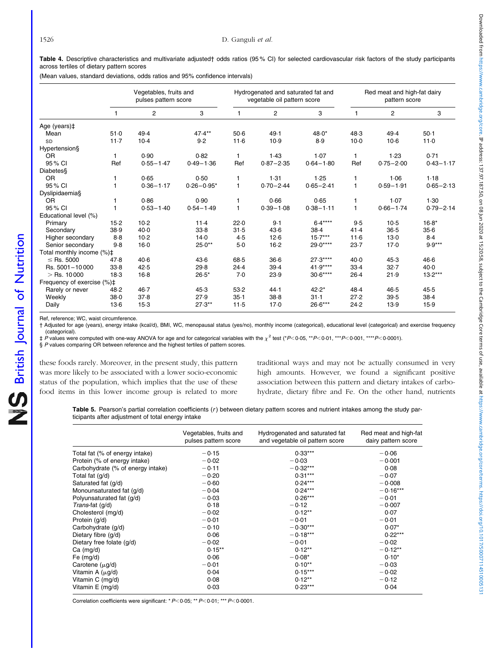<span id="page-6-0"></span>Table 4. Descriptive characteristics and multivariate adjusted† odds ratios (95 % CI) for selected cardiovascular risk factors of the study participants across tertiles of dietary pattern scores

(Mean values, standard deviations, odds ratios and 95% confidence intervals)

|                            | Vegetables, fruits and<br>pulses pattern score |                |                |       | Hydrogenated and saturated fat and<br>vegetable oil pattern score |               |        | Red meat and high-fat dairy<br>pattern score |               |  |
|----------------------------|------------------------------------------------|----------------|----------------|-------|-------------------------------------------------------------------|---------------|--------|----------------------------------------------|---------------|--|
|                            | 1                                              | $\overline{2}$ | 3              |       | $\overline{2}$                                                    | 3             |        | $\overline{2}$                               | 3             |  |
| Age (years)‡               |                                                |                |                |       |                                                                   |               |        |                                              |               |  |
| Mean                       | 51.0                                           | 49.4           | $47.4***$      | 50.6  | 49.1                                                              | $48.0*$       | 48.3   | 49.4                                         | $50-1$        |  |
| SD                         | $11-7$                                         | $10-4$         | 9.2            | 11.6  | 10.9                                                              | 8.9           | $10-0$ | $10-6$                                       | 11.0          |  |
| Hypertension§              |                                                |                |                |       |                                                                   |               |        |                                              |               |  |
| <b>OR</b>                  | $\mathbf{1}$                                   | 0.90           | 0.82           | 1     | 1.43                                                              | 1.07          | 1      | 1.23                                         | 0.71          |  |
| 95% CI                     | Ref                                            | $0.55 - 1.47$  | $0.49 - 1.36$  | Ref   | $0.87 - 2.35$                                                     | $0.64 - 1.80$ | Ref    | $0.75 - 2.00$                                | $0.43 - 1.17$ |  |
| Diabetes                   |                                                |                |                |       |                                                                   |               |        |                                              |               |  |
| <b>OR</b>                  |                                                | 0.65           | 0.50           | 1     | 1.31                                                              | 1.25          |        | 1.06                                         | 1.18          |  |
| 95% CI                     | 1                                              | $0.36 - 1.17$  | $0.26 - 0.95*$ | 1     | $0.70 - 2.44$                                                     | $0.65 - 2.41$ | 1      | $0.59 - 1.91$                                | $0.65 - 2.13$ |  |
| Dyslipidaemia§             |                                                |                |                |       |                                                                   |               |        |                                              |               |  |
| <b>OR</b>                  | 1                                              | 0.86           | 0.90           |       | 0.66                                                              | 0.65          | 1      | 1.07                                         | 1.30          |  |
| 95% CI                     |                                                | $0.53 - 1.40$  | $0.54 - 1.49$  | 1     | $0.39 - 1.08$                                                     | $0.38 - 1.11$ | 1      | $0.66 - 1.74$                                | $0.79 - 2.14$ |  |
| Educational level (%)      |                                                |                |                |       |                                                                   |               |        |                                              |               |  |
| Primary                    | $15-2$                                         | $10-2$         | 11.4           | 22.0  | 9.1                                                               | $6.4***$      | 9.5    | $10-5$                                       | $16.8*$       |  |
| Secondary                  | 38.9                                           | $40-0$         | 33.8           | 31.5  | 43.6                                                              | $38-4$        | 41.4   | 36.5                                         | $35-6$        |  |
| Higher secondary           | $8 - 8$                                        | $10-2$         | 14.0           | 4.5   | 12.6                                                              | $15.7***$     | 11.6   | 13.0                                         | 8.4           |  |
| Senior secondary           | $9 - 8$                                        | $16-0$         | $25.0**$       | $5-0$ | $16-2$                                                            | 29.0****      | $23-7$ | 17.0                                         | $9.9***$      |  |
| Total monthly income (%)‡  |                                                |                |                |       |                                                                   |               |        |                                              |               |  |
| $\le$ Rs. 5000             | 47.8                                           | $40-6$         | 43.6           | 68.5  | $36-6$                                                            | $27.3***$     | $40-0$ | 45.3                                         | $46-6$        |  |
| Rs. 5001-10000             | 33.8                                           | 42.5           | 29.8           | 24.4  | 39.4                                                              | 41.9****      | $33-4$ | 32.7                                         | $40-0$        |  |
| $>$ Rs. 10000              | $18-3$                                         | $16-8$         | $26.5*$        | 7.0   | 23.9                                                              | $30.6***$     | $26-4$ | 21.9                                         | $13.2***$     |  |
| Frequency of exercise (%)‡ |                                                |                |                |       |                                                                   |               |        |                                              |               |  |
| Rarely or never            | 48.2                                           | $46 - 7$       | 45.3           | 53.2  | 44.1                                                              | $42.2*$       | 48.4   | 46.5                                         | 45.5          |  |
| Weekly                     | 38.0                                           | 37.8           | 27.9           | 35.1  | 38.8                                                              | $31 - 1$      | 27.2   | 39.5                                         | $38-4$        |  |
| Daily                      | $13-6$                                         | $15-3$         | $27.3***$      | 11.5  | 17.0                                                              | $26.6***$     | 24.2   | 13.9                                         | 15.9          |  |

Ref, reference; WC, waist circumference.

British Journal of Nutrition

NS British Journal of Nutrition

† Adjusted for age (years), energy intake (kcal/d), BMI, WC, menopausal status (yes/no), monthly income (categorical), educational level (categorical) and exercise frequency (categorical).

 $\ddot{x}$  P values were computed with one-way ANOVA for age and for categorical variables with the  $x^2$  test (\*P<0·05, \*\*P $\leq$ 0·01, \*\*\*P $\leq$ 0·001, \*\*\*P $\leq$ 0·001,

§ P values comparing OR between reference and the highest tertiles of pattern scores.

these foods rarely. Moreover, in the present study, this pattern was more likely to be associated with a lower socio-economic status of the population, which implies that the use of these food items in this lower income group is related to more traditional ways and may not be actually consumed in very high amounts. However, we found a significant positive association between this pattern and dietary intakes of carbohydrate, dietary fibre and Fe. On the other hand, nutrients

Table 5. Pearson's partial correlation coefficients  $(r)$  between dietary pattern scores and nutrient intakes among the study participants after adjustment of total energy intake

|                                   | Vegetables, fruits and<br>pulses pattern score | Hydrogenated and saturated fat<br>and vegetable oil pattern score | Red meat and high-fat<br>dairy pattern score |
|-----------------------------------|------------------------------------------------|-------------------------------------------------------------------|----------------------------------------------|
| Total fat (% of energy intake)    | $-0.15$                                        | $0.33***$                                                         | $-0.06$                                      |
| Protein (% of energy intake)      | $-0.02$                                        | $-0.03$                                                           | $-0.001$                                     |
| Carbohydrate (% of energy intake) | $-0.11$                                        | $-0.32***$                                                        | 0.08                                         |
| Total fat (q/d)                   | $-0.20$                                        | $0.31***$                                                         | $-0.07$                                      |
| Saturated fat (g/d)               | $-0.60$                                        | $0.24***$                                                         | $-0.008$                                     |
| Monounsaturated fat (q/d)         | $-0.04$                                        | $0.24***$                                                         | $-0.16***$                                   |
| Polyunsaturated fat (g/d)         | $-0.03$                                        | $0.26***$                                                         | $-0.01$                                      |
| Trans-fat (g/d)                   | 0.18                                           | $-0.12$                                                           | $-0.007$                                     |
| Cholesterol (mg/d)                | $-0.02$                                        | $0.12***$                                                         | 0.07                                         |
| Protein (g/d)                     | $-0.01$                                        | $-0.01$                                                           | $-0.01$                                      |
| Carbohydrate (g/d)                | $-0.10$                                        | $-0.30***$                                                        | $0.07*$                                      |
| Dietary fibre (q/d)               | 0.06                                           | $-0.18***$                                                        | $0.22***$                                    |
| Dietary free folate (g/d)         | $-0.02$                                        | $-0.01$                                                           | $-0.02$                                      |
| $Ca$ (mg/d)                       | $0.15***$                                      | $0.12**$                                                          | $-0.12**$                                    |
| Fe $(mg/d)$                       | 0.06                                           | $-0.08*$                                                          | $0.10*$                                      |
| Carotene $(\mu q/d)$              | $-0.01$                                        | $0.10**$                                                          | $-0.03$                                      |
| Vitamin A $(\mu g/d)$             | 0.04                                           | $0.15***$                                                         | $-0.02$                                      |
| Vitamin C (mg/d)                  | 0.08                                           | $0.12***$                                                         | $-0.12$                                      |
| Vitamin E (mg/d)                  | 0.03                                           | $0.23***$                                                         | 0.04                                         |

Correlation coefficients were significant:  $*P$ <0.05;  $*$   $*$  P<0.01;  $**$  P<0.0001.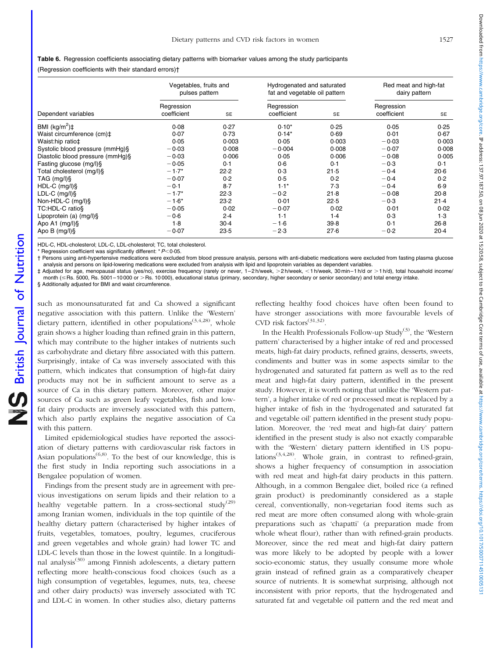<span id="page-7-0"></span>

|  | Table 6. Regression coefficients associating dietary patterns with biomarker values among the study participants |  |  |  |  |  |  |  |  |  |  |  |
|--|------------------------------------------------------------------------------------------------------------------|--|--|--|--|--|--|--|--|--|--|--|
|--|------------------------------------------------------------------------------------------------------------------|--|--|--|--|--|--|--|--|--|--|--|

(Regression coefficients with their standard errors)†

|                                                | Vegetables, fruits and<br>pulses pattern |           | Hydrogenated and saturated<br>fat and vegetable oil pattern |           | Red meat and high-fat<br>dairy pattern |          |  |
|------------------------------------------------|------------------------------------------|-----------|-------------------------------------------------------------|-----------|----------------------------------------|----------|--|
| Dependent variables                            | Regression<br>coefficient                | <b>SE</b> | Regression<br>coefficient                                   | <b>SE</b> | Regression<br>coefficient              | SE       |  |
| BMI $(kg/m2)$ <sup><math>\ddagger</math></sup> | 0.08                                     | 0.27      | $0.10*$                                                     | 0.25      | 0.05                                   | 0.25     |  |
| Waist circumference (cm) <sup>+</sup>          | 0.07                                     | 0.73      | $0.14*$                                                     | 0.69      | 0.01                                   | 0.67     |  |
| Waist:hip ratio‡                               | 0.05                                     | 0.003     | 0.05                                                        | 0.003     | $-0.03$                                | 0.003    |  |
| Systolic blood pressure (mmHg)§                | $-0.03$                                  | 0.008     | $-0.004$                                                    | 0.008     | $-0.07$                                | 0.008    |  |
| Diastolic blood pressure (mmHg)§               | $-0.03$                                  | 0.006     | 0.05                                                        | 0.006     | $-0.08$                                | 0.005    |  |
| Fasting glucose (mg/l)§                        | $-0.05$                                  | 0.1       | 0.6                                                         | 0.1       | $-0.3$                                 | 0.1      |  |
| Total cholesterol (mg/l)§                      | $-1.7*$                                  | 22.2      | 0.3                                                         | 21.5      | $-0.4$                                 | $20-6$   |  |
| TAG $(mg/l)\$                                  | $-0.07$                                  | 0.2       | 0.5                                                         | 0.2       | $-0.4$                                 | 0.2      |  |
| HDL-C (mg/l)§                                  | $-0.1$                                   | $8-7$     | $1.1*$                                                      | 7.3       | $-0.4$                                 | 6.9      |  |
| LDL-C (mg/l)§                                  | $-1.7*$                                  | 22.3      | $-0.2$                                                      | 21.8      | $-0.08$                                | $20-8$   |  |
| Non-HDL-C (mg/l)§                              | $-1.6*$                                  | 23.2      | 0.01                                                        | 22.5      | $-0.3$                                 | $21-4$   |  |
| TC:HDL-C ratio§                                | $-0.05$                                  | 0.02      | $-0.07$                                                     | 0.02      | 0.01                                   | 0.02     |  |
| Lipoprotein (a) (mg/l)§                        | $-0.6$                                   | 2.4       | 1.1                                                         | 1.4       | 0.3                                    | 1.3      |  |
| Apo A1 $(mq/l)\$                               | $1-8$                                    | $30-4$    | $-1.6$                                                      | 39.8      | 0.1                                    | $26 - 8$ |  |
| Apo B (mg/l)§                                  | $-0.07$                                  | 23.5      | $-2.3$                                                      | 27.6      | $-0.2$                                 | $20-4$   |  |

HDL-C, HDL-cholesterol; LDL-C, LDL-cholesterol; TC, total cholesterol.

Regression coefficient was significantly different:  $*P$ <0.05.

† Persons using anti-hypertensive medications were excluded from blood pressure analysis, persons with anti-diabetic medications were excluded from fasting plasma glucose analysis and persons on lipid-lowering medications were excluded from analysis with lipid and lipoprotein variables as dependent variables.

‡ Adjusted for age, menopausal status (yes/no), exercise frequency (rarely or never, 1–2 h/week, .2 h/week, ,1 h/week, 30 min–1 h/d or .1 h/d), total household income/ month (≤Rs. 5000, Rs. 5001-10 000 or >Rs. 10 000), educational status (primary, secondary, higher secondary or senior secondary) and total energy intake. § Additionally adjusted for BMI and waist circumference.

NS British Journal of Nutrition British Journal of Nutrition

such as monounsaturated fat and Ca showed a significant negative association with this pattern. Unlike the 'Western' dietary pattern, identified in other populations<sup> $(3,4,28)$ </sup>, whole grain shows a higher loading than refined grain in this pattern, which may contribute to the higher intakes of nutrients such as carbohydrate and dietary fibre associated with this pattern. Surprisingly, intake of Ca was inversely associated with this pattern, which indicates that consumption of high-fat dairy products may not be in sufficient amount to serve as a source of Ca in this dietary pattern. Moreover, other major sources of Ca such as green leafy vegetables, fish and lowfat dairy products are inversely associated with this pattern, which also partly explains the negative association of Ca with this pattern.

Limited epidemiological studies have reported the association of dietary patterns with cardiovascular risk factors in Asian populations<sup> $(6,8)$ </sup>. To the best of our knowledge, this is the first study in India reporting such associations in a Bengalee population of women.

Findings from the present study are in agreement with previous investigations on serum lipids and their relation to a healthy vegetable pattern. In a cross-sectional study<sup>(29)</sup> among Iranian women, individuals in the top quintile of the healthy dietary pattern (characterised by higher intakes of fruits, vegetables, tomatoes, poultry, legumes, cruciferous and green vegetables and whole grain) had lower TC and LDL-C levels than those in the lowest quintile. In a longitudinal analysis<sup>(30)</sup> among Finnish adolescents, a dietary pattern reflecting more health-conscious food choices (such as a high consumption of vegetables, legumes, nuts, tea, cheese and other dairy products) was inversely associated with TC and LDL-C in women. In other studies also, dietary patterns

reflecting healthy food choices have often been found to have stronger associations with more favourable levels of CVD risk factors $(31,32)$ .

In the Health Professionals Follow-up Study<sup>(3)</sup>, the 'Western pattern' characterised by a higher intake of red and processed meats, high-fat dairy products, refined grains, desserts, sweets, condiments and butter was in some aspects similar to the hydrogenated and saturated fat pattern as well as to the red meat and high-fat dairy pattern, identified in the present study. However, it is worth noting that unlike the 'Western pattern', a higher intake of red or processed meat is replaced by a higher intake of fish in the 'hydrogenated and saturated fat and vegetable oil' pattern identified in the present study population. Moreover, the 'red meat and high-fat dairy' pattern identified in the present study is also not exactly comparable with the 'Western' dietary pattern identified in US populations<sup> $(3,4,28)$ </sup>. Whole grain, in contrast to refined-grain, shows a higher frequency of consumption in association with red meat and high-fat dairy products in this pattern. Although, in a common Bengalee diet, boiled rice (a refined grain product) is predominantly considered as a staple cereal, conventionally, non-vegetarian food items such as red meat are more often consumed along with whole-grain preparations such as 'chapatti' (a preparation made from whole wheat flour), rather than with refined-grain products. Moreover, since the red meat and high-fat dairy pattern was more likely to be adopted by people with a lower socio-economic status, they usually consume more whole grain instead of refined grain as a comparatively cheaper source of nutrients. It is somewhat surprising, although not inconsistent with prior reports, that the hydrogenated and saturated fat and vegetable oil pattern and the red meat and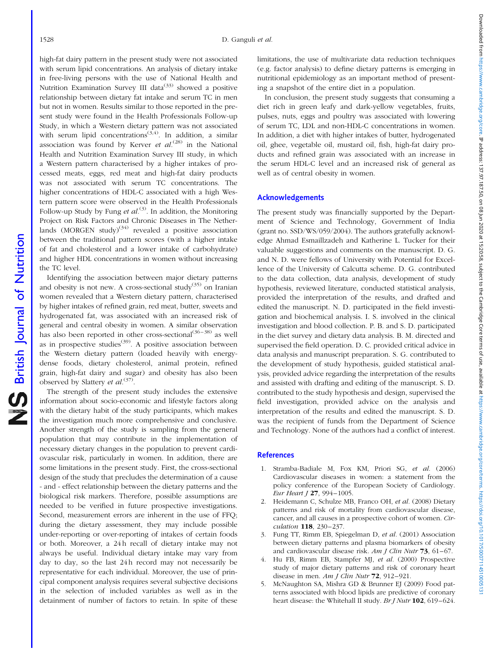British Journal of Nutrition

**NS** British Journal of Nutrition

high-fat dairy pattern in the present study were not associated with serum lipid concentrations. An analysis of dietary intake in free-living persons with the use of National Health and Nutrition Examination Survey III data<sup>(33)</sup> showed a positive relationship between dietary fat intake and serum TC in men but not in women. Results similar to those reported in the present study were found in the Health Professionals Follow-up Study, in which a Western dietary pattern was not associated with serum lipid concentrations<sup> $(3,4)$ </sup>. In addition, a similar association was found by Kerver et  $al^{(28)}$  in the National Health and Nutrition Examination Survey III study, in which a Western pattern characterised by a higher intakes of processed meats, eggs, red meat and high-fat dairy products was not associated with serum TC concentrations. The higher concentrations of HDL-C associated with a high Western pattern score were observed in the Health Professionals Follow-up Study by Fung et  $al^{(3)}$ . In addition, the Monitoring Project on Risk Factors and Chronic Diseases in The Netherlands (MORGEN study)<sup>(34)</sup> revealed a positive association between the traditional pattern scores (with a higher intake of fat and cholesterol and a lower intake of carbohydrate) and higher HDL concentrations in women without increasing the TC level.

Identifying the association between major dietary patterns and obesity is not new. A cross-sectional study<sup>(35)</sup> on Iranian women revealed that a Western dietary pattern, characterised by higher intakes of refined grain, red meat, butter, sweets and hydrogenated fat, was associated with an increased risk of general and central obesity in women. A similar observation has also been reported in other cross-sectional<sup>(36-38)</sup> as well as in prospective studies<sup> $(39)$ </sup>. A positive association between the Western dietary pattern (loaded heavily with energydense foods, dietary cholesterol, animal protein, refined grain, high-fat dairy and sugar) and obesity has also been observed by Slattery et  $al^{(37)}$ .

The strength of the present study includes the extensive information about socio-economic and lifestyle factors along with the dietary habit of the study participants, which makes the investigation much more comprehensive and conclusive. Another strength of the study is sampling from the general population that may contribute in the implementation of necessary dietary changes in the population to prevent cardiovascular risk, particularly in women. In addition, there are some limitations in the present study. First, the cross-sectional design of the study that precludes the determination of a cause - and - effect relationship between the dietary patterns and the biological risk markers. Therefore, possible assumptions are needed to be verified in future prospective investigations. Second, measurement errors are inherent in the use of FFQ; during the dietary assessment, they may include possible under-reporting or over-reporting of intakes of certain foods or both. Moreover, a 24 h recall of dietary intake may not always be useful. Individual dietary intake may vary from day to day, so the last 24 h record may not necessarily be representative for each individual. Moreover, the use of principal component analysis requires several subjective decisions in the selection of included variables as well as in the detainment of number of factors to retain. In spite of these limitations, the use of multivariate data reduction techniques (e.g. factor analysis) to define dietary patterns is emerging in nutritional epidemiology as an important method of presenting a snapshot of the entire diet in a population.

In conclusion, the present study suggests that consuming a diet rich in green leafy and dark-yellow vegetables, fruits, pulses, nuts, eggs and poultry was associated with lowering of serum TC, LDL and non-HDL-C concentrations in women. In addition, a diet with higher intakes of butter, hydrogenated oil, ghee, vegetable oil, mustard oil, fish, high-fat dairy products and refined grain was associated with an increase in the serum HDL-C level and an increased risk of general as well as of central obesity in women.

## Acknowledgements

The present study was financially supported by the Department of Science and Technology, Government of India (grant no. SSD/WS/059/2004). The authors gratefully acknowledge Ahmad Esmaillzadeh and Katherine L. Tucker for their valuable suggestions and comments on the manuscript. D. G. and N. D. were fellows of University with Potential for Excellence of the University of Calcutta scheme. D. G. contributed to the data collection, data analysis, development of study hypothesis, reviewed literature, conducted statistical analysis, provided the interpretation of the results, and drafted and edited the manuscript. N. D. participated in the field investigation and biochemical analysis. I. S. involved in the clinical investigation and blood collection. P. B. and S. D. participated in the diet survey and dietary data analysis. B. M. directed and supervised the field operation. D. C. provided critical advice in data analysis and manuscript preparation. S. G. contributed to the development of study hypothesis, guided statistical analysis, provided advice regarding the interpretation of the results and assisted with drafting and editing of the manuscript. S. D. contributed to the study hypothesis and design, supervised the field investigation, provided advice on the analysis and interpretation of the results and edited the manuscript. S. D. was the recipient of funds from the Department of Science and Technology. None of the authors had a conflict of interest.

#### **References**

- 1. Stramba-Badiale M, Fox KM, Priori SG, et al. (2006) Cardiovascular diseases in women: a statement from the policy conference of the European Society of Cardiology. Eur Heart J 27, 994-1005.
- 2. Heidemann C, Schulze MB, Franco OH, et al. (2008) Dietary patterns and risk of mortality from cardiovascular disease, cancer, and all causes in a prospective cohort of women. Circulation 118, 230–237.
- 3. Fung TT, Rimm EB, Spiegelman D, et al. (2001) Association between dietary patterns and plasma biomarkers of obesity and cardiovascular disease risk. Am J Clin Nutr 73, 61–67.
- 4. Hu FB, Rimm EB, Stampfer MJ, et al. (2000) Prospective study of major dietary patterns and risk of coronary heart disease in men. Am J Clin Nutr **72**, 912–921.
- 5. McNaughton SA, Mishra GD & Brunner EJ (2009) Food patterns associated with blood lipids are predictive of coronary heart disease: the Whitehall II study. Br J Nutr 102, 619–624.